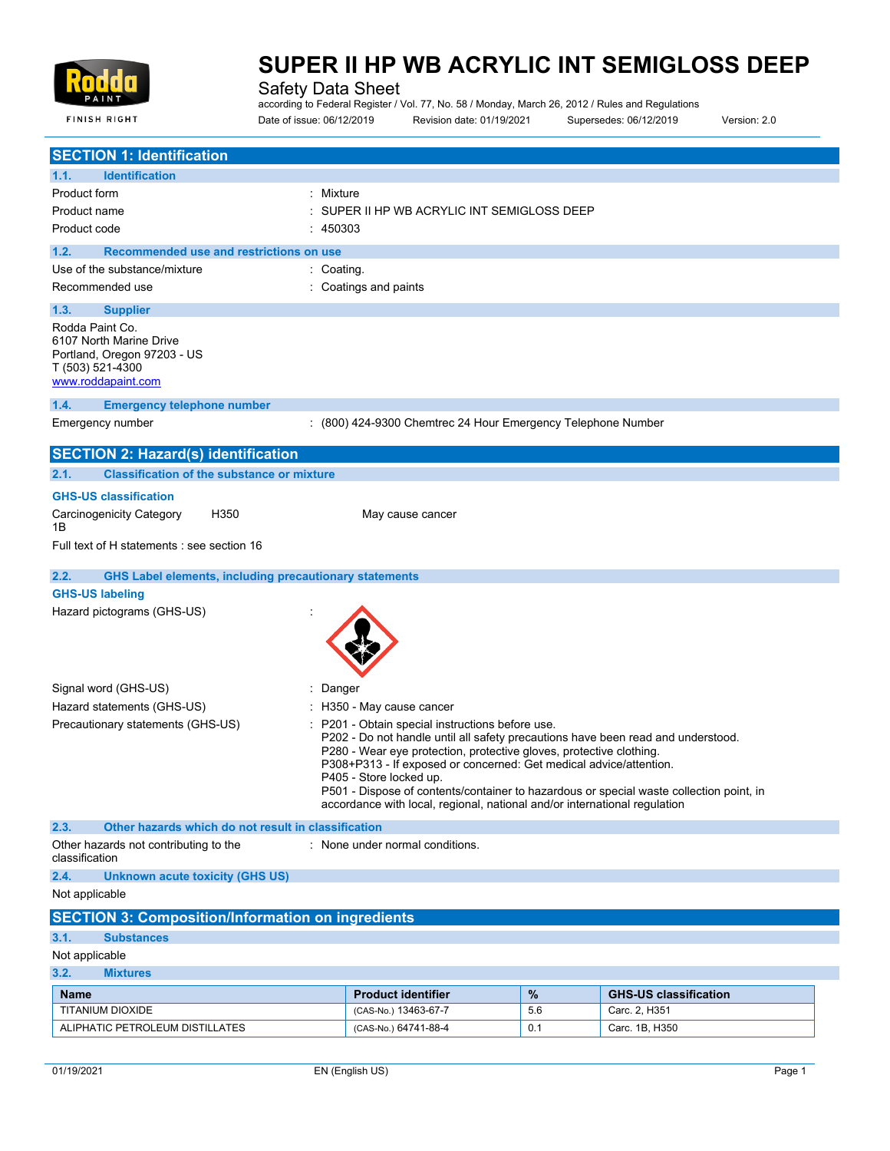

Safety Data Sheet

according to Federal Register / Vol. 77, No. 58 / Monday, March 26, 2012 / Rules and Regulations Date of issue: 06/12/2019 Revision date: 01/19/2021 Supersedes: 06/12/2019 Version: 2.0

| 1.1.<br><b>Identification</b><br>Product form<br>: Mixture<br>SUPER II HP WB ACRYLIC INT SEMIGLOSS DEEP<br>Product name<br>Product code<br>: 450303<br>1.2.<br>Recommended use and restrictions on use<br>Use of the substance/mixture<br>: Coating.<br>: Coatings and paints<br>Recommended use<br>1.3.<br><b>Supplier</b><br>Rodda Paint Co.<br>6107 North Marine Drive<br>Portland, Oregon 97203 - US<br>T (503) 521-4300<br>www.roddapaint.com<br>1.4.<br><b>Emergency telephone number</b><br>: (800) 424-9300 Chemtrec 24 Hour Emergency Telephone Number<br>Emergency number<br><b>SECTION 2: Hazard(s) identification</b><br><b>Classification of the substance or mixture</b><br>2.1.<br><b>GHS-US classification</b><br><b>Carcinogenicity Category</b><br>H350<br>May cause cancer<br>1Β<br>Full text of H statements : see section 16<br>2.2.<br><b>GHS Label elements, including precautionary statements</b><br><b>GHS-US labeling</b><br>Hazard pictograms (GHS-US)<br>Signal word (GHS-US)<br>: Danger<br>Hazard statements (GHS-US)<br>: H350 - May cause cancer<br>Precautionary statements (GHS-US)<br>P201 - Obtain special instructions before use.<br>P202 - Do not handle until all safety precautions have been read and understood.<br>P280 - Wear eye protection, protective gloves, protective clothing.<br>P308+P313 - If exposed or concerned: Get medical advice/attention.<br>P405 - Store locked up.<br>P501 - Dispose of contents/container to hazardous or special waste collection point, in<br>accordance with local, regional, national and/or international regulation<br>2.3.<br>Other hazards which do not result in classification<br>: None under normal conditions.<br>Other hazards not contributing to the<br>classification<br>2.4.<br><b>Unknown acute toxicity (GHS US)</b><br>Not applicable<br><b>SECTION 3: Composition/Information on ingredients</b><br>3.1.<br><b>Substances</b><br>Not applicable<br>3.2.<br><b>Mixtures</b><br>$\%$<br><b>Product identifier</b><br><b>GHS-US classification</b><br>Name<br>TITANIUM DIOXIDE<br>(CAS-No.) 13463-67-7<br>Carc. 2, H351<br>5.6 |                                  |  |  |
|--------------------------------------------------------------------------------------------------------------------------------------------------------------------------------------------------------------------------------------------------------------------------------------------------------------------------------------------------------------------------------------------------------------------------------------------------------------------------------------------------------------------------------------------------------------------------------------------------------------------------------------------------------------------------------------------------------------------------------------------------------------------------------------------------------------------------------------------------------------------------------------------------------------------------------------------------------------------------------------------------------------------------------------------------------------------------------------------------------------------------------------------------------------------------------------------------------------------------------------------------------------------------------------------------------------------------------------------------------------------------------------------------------------------------------------------------------------------------------------------------------------------------------------------------------------------------------------------------------------------------------------------------------------------------------------------------------------------------------------------------------------------------------------------------------------------------------------------------------------------------------------------------------------------------------------------------------------------------------------------------------------------------------------------------------------------------------------------------------------------------------------|----------------------------------|--|--|
|                                                                                                                                                                                                                                                                                                                                                                                                                                                                                                                                                                                                                                                                                                                                                                                                                                                                                                                                                                                                                                                                                                                                                                                                                                                                                                                                                                                                                                                                                                                                                                                                                                                                                                                                                                                                                                                                                                                                                                                                                                                                                                                                      | <b>SECTION 1: Identification</b> |  |  |
|                                                                                                                                                                                                                                                                                                                                                                                                                                                                                                                                                                                                                                                                                                                                                                                                                                                                                                                                                                                                                                                                                                                                                                                                                                                                                                                                                                                                                                                                                                                                                                                                                                                                                                                                                                                                                                                                                                                                                                                                                                                                                                                                      |                                  |  |  |
|                                                                                                                                                                                                                                                                                                                                                                                                                                                                                                                                                                                                                                                                                                                                                                                                                                                                                                                                                                                                                                                                                                                                                                                                                                                                                                                                                                                                                                                                                                                                                                                                                                                                                                                                                                                                                                                                                                                                                                                                                                                                                                                                      |                                  |  |  |
|                                                                                                                                                                                                                                                                                                                                                                                                                                                                                                                                                                                                                                                                                                                                                                                                                                                                                                                                                                                                                                                                                                                                                                                                                                                                                                                                                                                                                                                                                                                                                                                                                                                                                                                                                                                                                                                                                                                                                                                                                                                                                                                                      |                                  |  |  |
|                                                                                                                                                                                                                                                                                                                                                                                                                                                                                                                                                                                                                                                                                                                                                                                                                                                                                                                                                                                                                                                                                                                                                                                                                                                                                                                                                                                                                                                                                                                                                                                                                                                                                                                                                                                                                                                                                                                                                                                                                                                                                                                                      |                                  |  |  |
|                                                                                                                                                                                                                                                                                                                                                                                                                                                                                                                                                                                                                                                                                                                                                                                                                                                                                                                                                                                                                                                                                                                                                                                                                                                                                                                                                                                                                                                                                                                                                                                                                                                                                                                                                                                                                                                                                                                                                                                                                                                                                                                                      |                                  |  |  |
|                                                                                                                                                                                                                                                                                                                                                                                                                                                                                                                                                                                                                                                                                                                                                                                                                                                                                                                                                                                                                                                                                                                                                                                                                                                                                                                                                                                                                                                                                                                                                                                                                                                                                                                                                                                                                                                                                                                                                                                                                                                                                                                                      |                                  |  |  |
|                                                                                                                                                                                                                                                                                                                                                                                                                                                                                                                                                                                                                                                                                                                                                                                                                                                                                                                                                                                                                                                                                                                                                                                                                                                                                                                                                                                                                                                                                                                                                                                                                                                                                                                                                                                                                                                                                                                                                                                                                                                                                                                                      |                                  |  |  |
|                                                                                                                                                                                                                                                                                                                                                                                                                                                                                                                                                                                                                                                                                                                                                                                                                                                                                                                                                                                                                                                                                                                                                                                                                                                                                                                                                                                                                                                                                                                                                                                                                                                                                                                                                                                                                                                                                                                                                                                                                                                                                                                                      |                                  |  |  |
|                                                                                                                                                                                                                                                                                                                                                                                                                                                                                                                                                                                                                                                                                                                                                                                                                                                                                                                                                                                                                                                                                                                                                                                                                                                                                                                                                                                                                                                                                                                                                                                                                                                                                                                                                                                                                                                                                                                                                                                                                                                                                                                                      |                                  |  |  |
|                                                                                                                                                                                                                                                                                                                                                                                                                                                                                                                                                                                                                                                                                                                                                                                                                                                                                                                                                                                                                                                                                                                                                                                                                                                                                                                                                                                                                                                                                                                                                                                                                                                                                                                                                                                                                                                                                                                                                                                                                                                                                                                                      |                                  |  |  |
|                                                                                                                                                                                                                                                                                                                                                                                                                                                                                                                                                                                                                                                                                                                                                                                                                                                                                                                                                                                                                                                                                                                                                                                                                                                                                                                                                                                                                                                                                                                                                                                                                                                                                                                                                                                                                                                                                                                                                                                                                                                                                                                                      |                                  |  |  |
|                                                                                                                                                                                                                                                                                                                                                                                                                                                                                                                                                                                                                                                                                                                                                                                                                                                                                                                                                                                                                                                                                                                                                                                                                                                                                                                                                                                                                                                                                                                                                                                                                                                                                                                                                                                                                                                                                                                                                                                                                                                                                                                                      |                                  |  |  |
|                                                                                                                                                                                                                                                                                                                                                                                                                                                                                                                                                                                                                                                                                                                                                                                                                                                                                                                                                                                                                                                                                                                                                                                                                                                                                                                                                                                                                                                                                                                                                                                                                                                                                                                                                                                                                                                                                                                                                                                                                                                                                                                                      |                                  |  |  |
|                                                                                                                                                                                                                                                                                                                                                                                                                                                                                                                                                                                                                                                                                                                                                                                                                                                                                                                                                                                                                                                                                                                                                                                                                                                                                                                                                                                                                                                                                                                                                                                                                                                                                                                                                                                                                                                                                                                                                                                                                                                                                                                                      |                                  |  |  |
|                                                                                                                                                                                                                                                                                                                                                                                                                                                                                                                                                                                                                                                                                                                                                                                                                                                                                                                                                                                                                                                                                                                                                                                                                                                                                                                                                                                                                                                                                                                                                                                                                                                                                                                                                                                                                                                                                                                                                                                                                                                                                                                                      |                                  |  |  |
|                                                                                                                                                                                                                                                                                                                                                                                                                                                                                                                                                                                                                                                                                                                                                                                                                                                                                                                                                                                                                                                                                                                                                                                                                                                                                                                                                                                                                                                                                                                                                                                                                                                                                                                                                                                                                                                                                                                                                                                                                                                                                                                                      |                                  |  |  |
|                                                                                                                                                                                                                                                                                                                                                                                                                                                                                                                                                                                                                                                                                                                                                                                                                                                                                                                                                                                                                                                                                                                                                                                                                                                                                                                                                                                                                                                                                                                                                                                                                                                                                                                                                                                                                                                                                                                                                                                                                                                                                                                                      |                                  |  |  |
|                                                                                                                                                                                                                                                                                                                                                                                                                                                                                                                                                                                                                                                                                                                                                                                                                                                                                                                                                                                                                                                                                                                                                                                                                                                                                                                                                                                                                                                                                                                                                                                                                                                                                                                                                                                                                                                                                                                                                                                                                                                                                                                                      |                                  |  |  |
|                                                                                                                                                                                                                                                                                                                                                                                                                                                                                                                                                                                                                                                                                                                                                                                                                                                                                                                                                                                                                                                                                                                                                                                                                                                                                                                                                                                                                                                                                                                                                                                                                                                                                                                                                                                                                                                                                                                                                                                                                                                                                                                                      |                                  |  |  |
|                                                                                                                                                                                                                                                                                                                                                                                                                                                                                                                                                                                                                                                                                                                                                                                                                                                                                                                                                                                                                                                                                                                                                                                                                                                                                                                                                                                                                                                                                                                                                                                                                                                                                                                                                                                                                                                                                                                                                                                                                                                                                                                                      |                                  |  |  |
|                                                                                                                                                                                                                                                                                                                                                                                                                                                                                                                                                                                                                                                                                                                                                                                                                                                                                                                                                                                                                                                                                                                                                                                                                                                                                                                                                                                                                                                                                                                                                                                                                                                                                                                                                                                                                                                                                                                                                                                                                                                                                                                                      |                                  |  |  |
|                                                                                                                                                                                                                                                                                                                                                                                                                                                                                                                                                                                                                                                                                                                                                                                                                                                                                                                                                                                                                                                                                                                                                                                                                                                                                                                                                                                                                                                                                                                                                                                                                                                                                                                                                                                                                                                                                                                                                                                                                                                                                                                                      |                                  |  |  |
|                                                                                                                                                                                                                                                                                                                                                                                                                                                                                                                                                                                                                                                                                                                                                                                                                                                                                                                                                                                                                                                                                                                                                                                                                                                                                                                                                                                                                                                                                                                                                                                                                                                                                                                                                                                                                                                                                                                                                                                                                                                                                                                                      |                                  |  |  |
|                                                                                                                                                                                                                                                                                                                                                                                                                                                                                                                                                                                                                                                                                                                                                                                                                                                                                                                                                                                                                                                                                                                                                                                                                                                                                                                                                                                                                                                                                                                                                                                                                                                                                                                                                                                                                                                                                                                                                                                                                                                                                                                                      |                                  |  |  |
|                                                                                                                                                                                                                                                                                                                                                                                                                                                                                                                                                                                                                                                                                                                                                                                                                                                                                                                                                                                                                                                                                                                                                                                                                                                                                                                                                                                                                                                                                                                                                                                                                                                                                                                                                                                                                                                                                                                                                                                                                                                                                                                                      |                                  |  |  |
|                                                                                                                                                                                                                                                                                                                                                                                                                                                                                                                                                                                                                                                                                                                                                                                                                                                                                                                                                                                                                                                                                                                                                                                                                                                                                                                                                                                                                                                                                                                                                                                                                                                                                                                                                                                                                                                                                                                                                                                                                                                                                                                                      |                                  |  |  |
|                                                                                                                                                                                                                                                                                                                                                                                                                                                                                                                                                                                                                                                                                                                                                                                                                                                                                                                                                                                                                                                                                                                                                                                                                                                                                                                                                                                                                                                                                                                                                                                                                                                                                                                                                                                                                                                                                                                                                                                                                                                                                                                                      |                                  |  |  |
|                                                                                                                                                                                                                                                                                                                                                                                                                                                                                                                                                                                                                                                                                                                                                                                                                                                                                                                                                                                                                                                                                                                                                                                                                                                                                                                                                                                                                                                                                                                                                                                                                                                                                                                                                                                                                                                                                                                                                                                                                                                                                                                                      |                                  |  |  |
|                                                                                                                                                                                                                                                                                                                                                                                                                                                                                                                                                                                                                                                                                                                                                                                                                                                                                                                                                                                                                                                                                                                                                                                                                                                                                                                                                                                                                                                                                                                                                                                                                                                                                                                                                                                                                                                                                                                                                                                                                                                                                                                                      |                                  |  |  |
|                                                                                                                                                                                                                                                                                                                                                                                                                                                                                                                                                                                                                                                                                                                                                                                                                                                                                                                                                                                                                                                                                                                                                                                                                                                                                                                                                                                                                                                                                                                                                                                                                                                                                                                                                                                                                                                                                                                                                                                                                                                                                                                                      |                                  |  |  |
|                                                                                                                                                                                                                                                                                                                                                                                                                                                                                                                                                                                                                                                                                                                                                                                                                                                                                                                                                                                                                                                                                                                                                                                                                                                                                                                                                                                                                                                                                                                                                                                                                                                                                                                                                                                                                                                                                                                                                                                                                                                                                                                                      |                                  |  |  |
|                                                                                                                                                                                                                                                                                                                                                                                                                                                                                                                                                                                                                                                                                                                                                                                                                                                                                                                                                                                                                                                                                                                                                                                                                                                                                                                                                                                                                                                                                                                                                                                                                                                                                                                                                                                                                                                                                                                                                                                                                                                                                                                                      |                                  |  |  |
|                                                                                                                                                                                                                                                                                                                                                                                                                                                                                                                                                                                                                                                                                                                                                                                                                                                                                                                                                                                                                                                                                                                                                                                                                                                                                                                                                                                                                                                                                                                                                                                                                                                                                                                                                                                                                                                                                                                                                                                                                                                                                                                                      |                                  |  |  |
| Carc. 1B, H350<br>ALIPHATIC PETROLEUM DISTILLATES<br>(CAS-No.) 64741-88-4<br>0.1                                                                                                                                                                                                                                                                                                                                                                                                                                                                                                                                                                                                                                                                                                                                                                                                                                                                                                                                                                                                                                                                                                                                                                                                                                                                                                                                                                                                                                                                                                                                                                                                                                                                                                                                                                                                                                                                                                                                                                                                                                                     |                                  |  |  |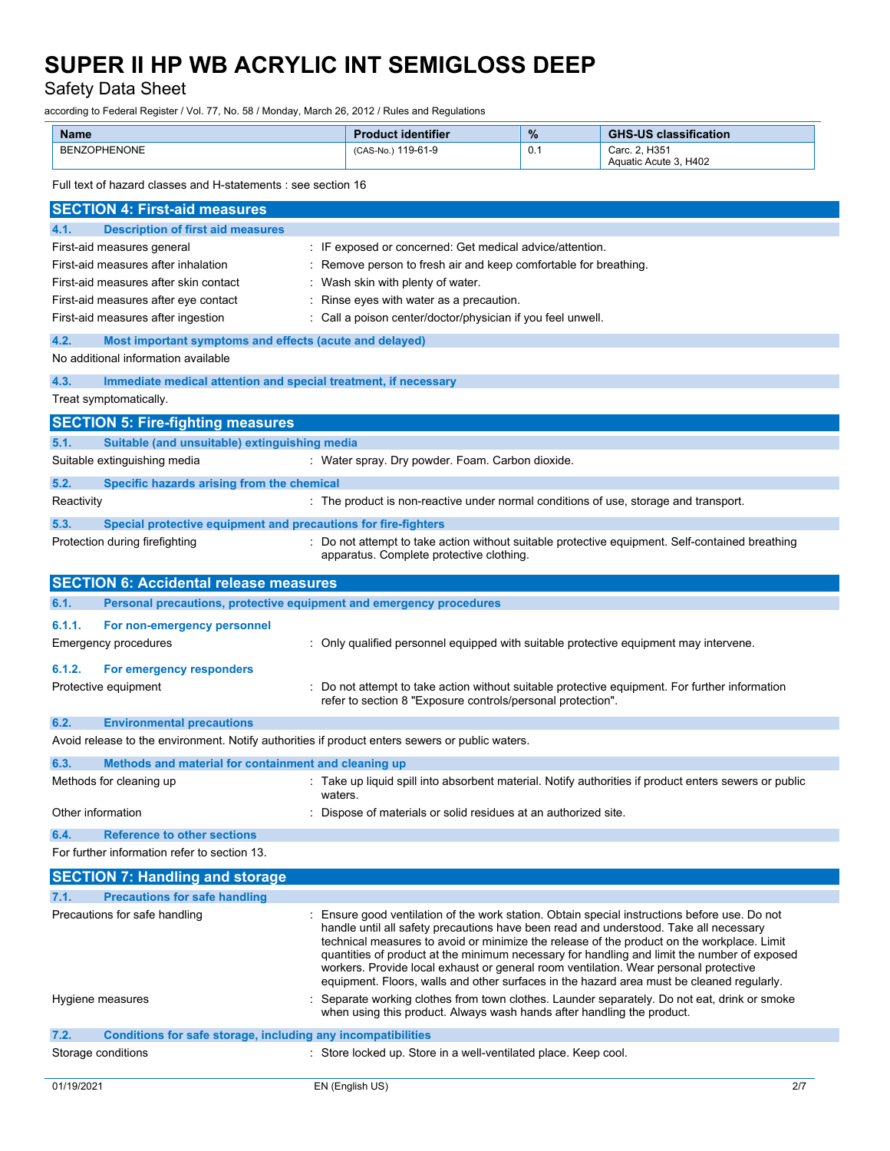Safety Data Sheet

according to Federal Register / Vol. 77, No. 58 / Monday, March 26, 2012 / Rules and Regulations

| <b>Name</b>  | <b>Product identifier</b> | $\%$ | <b>GHS-US classification</b>           |
|--------------|---------------------------|------|----------------------------------------|
| BENZOPHENONE | (CAS-No.) 119-61-9        | 0.1  | Carc. 2. H351<br>Aquatic Acute 3, H402 |

Full text of hazard classes and H-statements : see section 16

| <b>SECTION 4: First-aid measures</b>                                                            |                                                                                                                                                                                     |
|-------------------------------------------------------------------------------------------------|-------------------------------------------------------------------------------------------------------------------------------------------------------------------------------------|
| 4.1.<br><b>Description of first aid measures</b>                                                |                                                                                                                                                                                     |
| First-aid measures general                                                                      | : IF exposed or concerned: Get medical advice/attention.                                                                                                                            |
| First-aid measures after inhalation                                                             | : Remove person to fresh air and keep comfortable for breathing.                                                                                                                    |
| First-aid measures after skin contact                                                           | : Wash skin with plenty of water.                                                                                                                                                   |
| First-aid measures after eye contact                                                            | Rinse eyes with water as a precaution.                                                                                                                                              |
| First-aid measures after ingestion                                                              | : Call a poison center/doctor/physician if you feel unwell.                                                                                                                         |
| 4.2.<br>Most important symptoms and effects (acute and delayed)                                 |                                                                                                                                                                                     |
| No additional information available                                                             |                                                                                                                                                                                     |
| 4.3.<br>Immediate medical attention and special treatment, if necessary                         |                                                                                                                                                                                     |
| Treat symptomatically.                                                                          |                                                                                                                                                                                     |
| <b>SECTION 5: Fire-fighting measures</b>                                                        |                                                                                                                                                                                     |
| 5.1.<br>Suitable (and unsuitable) extinguishing media                                           |                                                                                                                                                                                     |
| Suitable extinguishing media                                                                    | : Water spray. Dry powder. Foam. Carbon dioxide.                                                                                                                                    |
| 5.2.<br>Specific hazards arising from the chemical                                              |                                                                                                                                                                                     |
| Reactivity                                                                                      | : The product is non-reactive under normal conditions of use, storage and transport.                                                                                                |
| Special protective equipment and precautions for fire-fighters<br>5.3.                          |                                                                                                                                                                                     |
| Protection during firefighting                                                                  | : Do not attempt to take action without suitable protective equipment. Self-contained breathing                                                                                     |
|                                                                                                 | apparatus. Complete protective clothing.                                                                                                                                            |
| <b>SECTION 6: Accidental release measures</b>                                                   |                                                                                                                                                                                     |
| 6.1.<br>Personal precautions, protective equipment and emergency procedures                     |                                                                                                                                                                                     |
| 6.1.1.<br>For non-emergency personnel                                                           |                                                                                                                                                                                     |
| Emergency procedures                                                                            | : Only qualified personnel equipped with suitable protective equipment may intervene.                                                                                               |
|                                                                                                 |                                                                                                                                                                                     |
| 6.1.2.<br>For emergency responders                                                              |                                                                                                                                                                                     |
| Protective equipment                                                                            | Do not attempt to take action without suitable protective equipment. For further information<br>refer to section 8 "Exposure controls/personal protection".                         |
| 6.2.<br><b>Environmental precautions</b>                                                        |                                                                                                                                                                                     |
| Avoid release to the environment. Notify authorities if product enters sewers or public waters. |                                                                                                                                                                                     |
| 6.3.<br>Methods and material for containment and cleaning up                                    |                                                                                                                                                                                     |
| Methods for cleaning up                                                                         | : Take up liquid spill into absorbent material. Notify authorities if product enters sewers or public                                                                               |
|                                                                                                 | waters.                                                                                                                                                                             |
| Other information                                                                               | Dispose of materials or solid residues at an authorized site.                                                                                                                       |
| 6.4.<br><b>Reference to other sections</b>                                                      |                                                                                                                                                                                     |
| For further information refer to section 13.                                                    |                                                                                                                                                                                     |
| <b>SECTION 7: Handling and storage</b>                                                          |                                                                                                                                                                                     |
| 7.1.<br><b>Precautions for safe handling</b>                                                    |                                                                                                                                                                                     |
| Precautions for safe handling                                                                   | : Ensure good ventilation of the work station. Obtain special instructions before use. Do not                                                                                       |
|                                                                                                 | handle until all safety precautions have been read and understood. Take all necessary<br>technical measures to avoid or minimize the release of the product on the workplace. Limit |
|                                                                                                 | quantities of product at the minimum necessary for handling and limit the number of exposed                                                                                         |
|                                                                                                 | workers. Provide local exhaust or general room ventilation. Wear personal protective                                                                                                |
|                                                                                                 | equipment. Floors, walls and other surfaces in the hazard area must be cleaned regularly.                                                                                           |
| Hygiene measures                                                                                | Separate working clothes from town clothes. Launder separately. Do not eat, drink or smoke<br>when using this product. Always wash hands after handling the product.                |
| 7.2.<br><b>Conditions for safe storage, including any incompatibilities</b>                     |                                                                                                                                                                                     |
| Storage conditions                                                                              | : Store locked up. Store in a well-ventilated place. Keep cool.                                                                                                                     |
|                                                                                                 |                                                                                                                                                                                     |
| 01/19/2021                                                                                      | EN (English US)<br>2/7                                                                                                                                                              |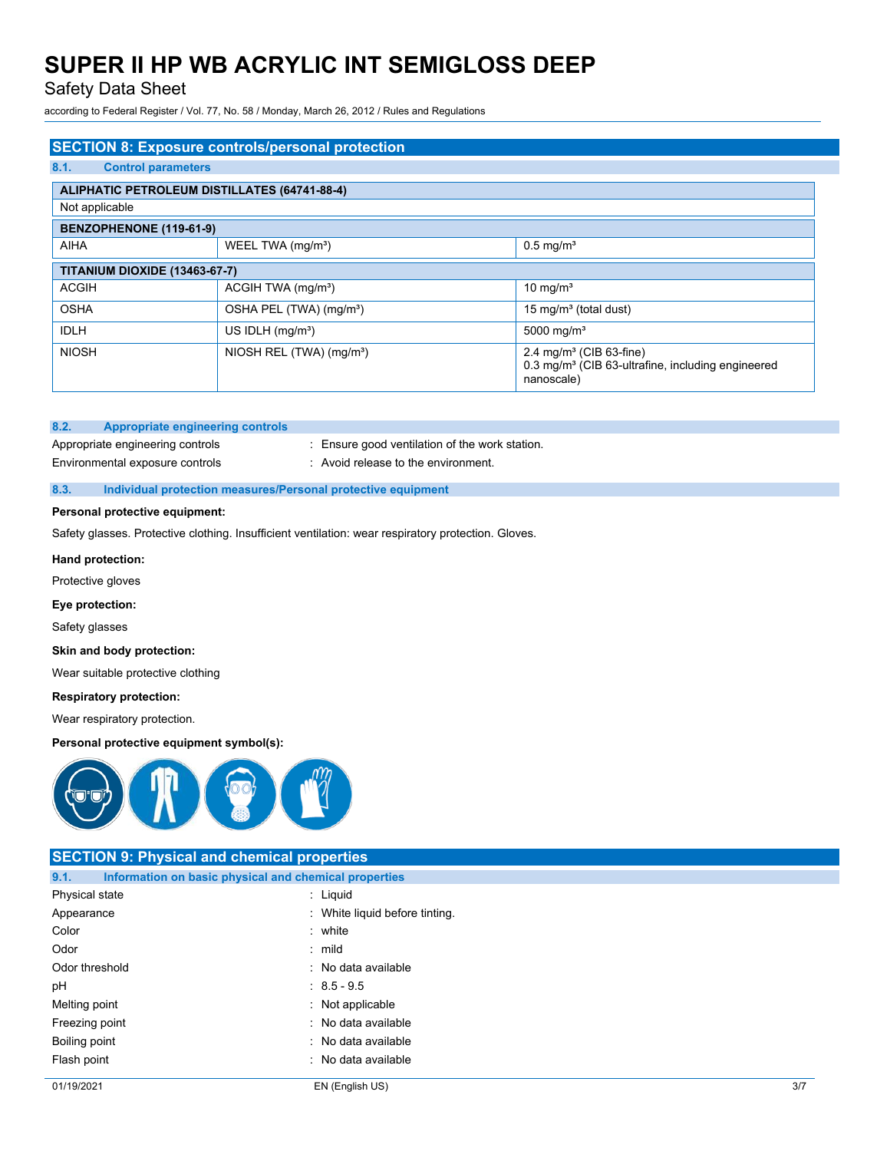## Safety Data Sheet

according to Federal Register / Vol. 77, No. 58 / Monday, March 26, 2012 / Rules and Regulations

| <b>SECTION 8: Exposure controls/personal protection</b> |                                      |                                                                                                                    |  |
|---------------------------------------------------------|--------------------------------------|--------------------------------------------------------------------------------------------------------------------|--|
| 8.1.<br><b>Control parameters</b>                       |                                      |                                                                                                                    |  |
| <b>ALIPHATIC PETROLEUM DISTILLATES (64741-88-4)</b>     |                                      |                                                                                                                    |  |
| Not applicable                                          |                                      |                                                                                                                    |  |
|                                                         | BENZOPHENONE (119-61-9)              |                                                                                                                    |  |
| <b>AIHA</b>                                             | WEEL TWA (mg/m <sup>3</sup> )        | $0.5$ mg/m <sup>3</sup>                                                                                            |  |
| <b>TITANIUM DIOXIDE (13463-67-7)</b>                    |                                      |                                                                                                                    |  |
| <b>ACGIH</b>                                            | ACGIH TWA (mg/m <sup>3</sup> )       | 10 mg/m <sup>3</sup>                                                                                               |  |
| <b>OSHA</b>                                             | OSHA PEL (TWA) (mg/m <sup>3</sup> )  | 15 mg/m <sup>3</sup> (total dust)                                                                                  |  |
| <b>IDLH</b>                                             | US IDLH $(mq/m3)$                    | 5000 mg/m <sup>3</sup>                                                                                             |  |
| <b>NIOSH</b>                                            | NIOSH REL (TWA) (mg/m <sup>3</sup> ) | 2.4 mg/m <sup>3</sup> (CIB 63-fine)<br>0.3 mg/m <sup>3</sup> (CIB 63-ultrafine, including engineered<br>nanoscale) |  |

#### **8.2. Appropriate engineering controls**

Environmental exposure controls : Avoid release to the environment.

- Appropriate engineering controls : Ensure good ventilation of the work station.
	-

## **8.3. Individual protection measures/Personal protective equipment**

## **Personal protective equipment:**

Safety glasses. Protective clothing. Insufficient ventilation: wear respiratory protection. Gloves.

#### **Hand protection:**

Protective gloves

### **Eye protection:**

Safety glasses

### **Skin and body protection:**

Wear suitable protective clothing

### **Respiratory protection:**

Wear respiratory protection.

## **Personal protective equipment symbol(s):**



## **SECTION 9: Physical and chemical properties 9.1. Information on basic physical and chemical properties**

| <b>Experience to the subset program and chompatible properties</b> |                 |
|--------------------------------------------------------------------|-----------------|
| : Liquid                                                           |                 |
| : White liquid before tinting.                                     |                 |
| : white                                                            |                 |
| : mild                                                             |                 |
| : No data available                                                |                 |
| $: 8.5 - 9.5$                                                      |                 |
| : Not applicable                                                   |                 |
| : No data available                                                |                 |
| : No data available                                                |                 |
| : No data available                                                |                 |
|                                                                    | 3/7             |
|                                                                    | EN (English US) |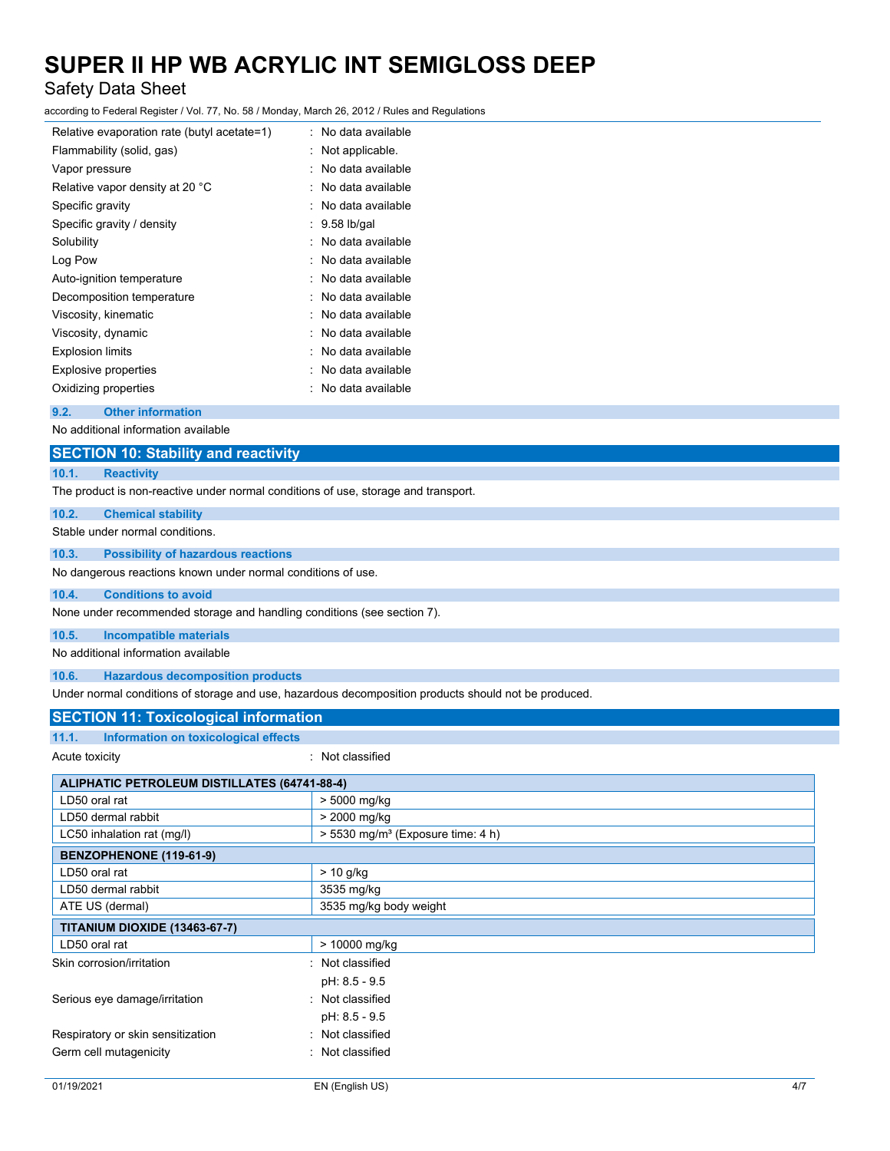## Safety Data Sheet

according to Federal Register / Vol. 77, No. 58 / Monday, March 26, 2012 / Rules and Regulations

| Relative evaporation rate (butyl acetate=1) | No data available |
|---------------------------------------------|-------------------|
| Flammability (solid, gas)                   | Not applicable.   |
| Vapor pressure                              | No data available |
| Relative vapor density at 20 °C             | No data available |
| Specific gravity                            | No data available |
| Specific gravity / density                  | $9.58$ lb/gal     |
| Solubility                                  | No data available |
| Log Pow                                     | No data available |
| Auto-ignition temperature                   | No data available |
| Decomposition temperature                   | No data available |
| Viscosity, kinematic                        | No data available |
| Viscosity, dynamic                          | No data available |
| <b>Explosion limits</b>                     | No data available |
| <b>Explosive properties</b>                 | No data available |
| Oxidizing properties                        | No data available |
|                                             |                   |

### **9.2. Other information**

No additional information available

## **SECTION 10: Stability and reactivity**

**10.1. Reactivity**

The product is non-reactive under normal conditions of use, storage and transport.

#### **10.2. Chemical stability**

Stable under normal conditions.

#### **10.3. Possibility of hazardous reactions**

No dangerous reactions known under normal conditions of use.

#### **10.4. Conditions to avoid**

None under recommended storage and handling conditions (see section 7).

#### **10.5. Incompatible materials**

No additional information available

## **10.6. Hazardous decomposition products**

Under normal conditions of storage and use, hazardous decomposition products should not be produced.

## **SECTION 11: Toxicological information**

| 11.1.<br>Information on toxicological effects |  |
|-----------------------------------------------|--|
|-----------------------------------------------|--|

: Not classified

| <b>ALIPHATIC PETROLEUM DISTILLATES (64741-88-4)</b> |                                                 |  |
|-----------------------------------------------------|-------------------------------------------------|--|
| LD50 oral rat                                       | > 5000 mg/kg                                    |  |
| LD50 dermal rabbit                                  | > 2000 mg/kg                                    |  |
| LC50 inhalation rat (mg/l)                          | $> 5530$ mg/m <sup>3</sup> (Exposure time: 4 h) |  |
| BENZOPHENONE (119-61-9)                             |                                                 |  |
| LD50 oral rat                                       | $> 10$ g/kg                                     |  |
| LD50 dermal rabbit                                  | 3535 mg/kg                                      |  |
| ATE US (dermal)                                     | 3535 mg/kg body weight                          |  |
| <b>TITANIUM DIOXIDE (13463-67-7)</b>                |                                                 |  |
| LD50 oral rat                                       | > 10000 mg/kg                                   |  |
| Skin corrosion/irritation                           | : Not classified                                |  |
|                                                     | pH: 8.5 - 9.5                                   |  |
| Serious eye damage/irritation                       | Not classified<br>٠                             |  |
|                                                     | pH: 8.5 - 9.5                                   |  |
| Respiratory or skin sensitization                   | : Not classified                                |  |
| Germ cell mutagenicity                              | Not classified                                  |  |
|                                                     |                                                 |  |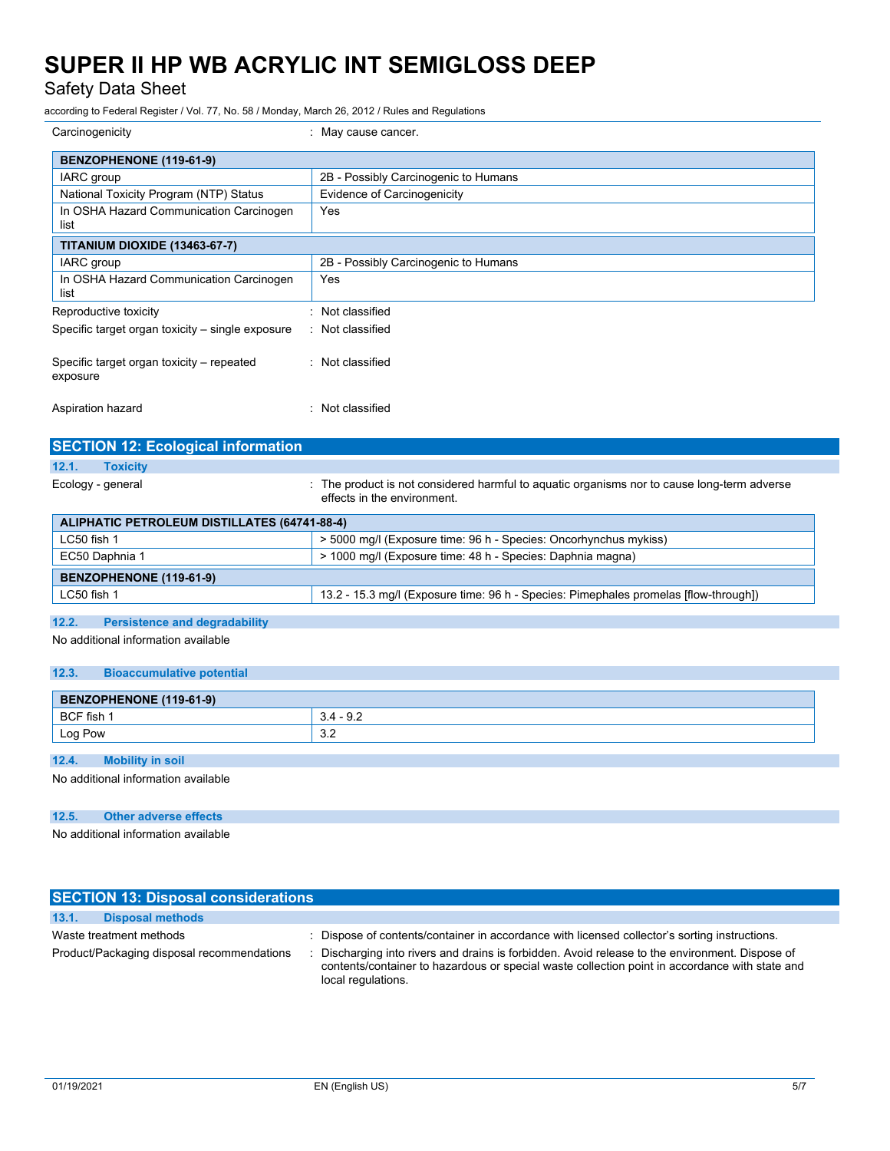Safety Data Sheet

according to Federal Register / Vol. 77, No. 58 / Monday, March 26, 2012 / Rules and Regulations

| Carcinogenicity                                       | : May cause cancer.                  |
|-------------------------------------------------------|--------------------------------------|
| BENZOPHENONE (119-61-9)                               |                                      |
| IARC group                                            | 2B - Possibly Carcinogenic to Humans |
| National Toxicity Program (NTP) Status                | Evidence of Carcinogenicity          |
| In OSHA Hazard Communication Carcinogen<br>list       | Yes                                  |
| <b>TITANIUM DIOXIDE (13463-67-7)</b>                  |                                      |
| IARC group                                            | 2B - Possibly Carcinogenic to Humans |
| In OSHA Hazard Communication Carcinogen<br>list       | Yes                                  |
| Reproductive toxicity                                 | Not classified<br>۰                  |
| Specific target organ toxicity – single exposure      | : Not classified                     |
| Specific target organ toxicity – repeated<br>exposure | : Not classified                     |
| Aspiration hazard                                     | Not classified<br>٠                  |

| <b>SECTION 12: Ecological information</b>    |                                                                                                                            |
|----------------------------------------------|----------------------------------------------------------------------------------------------------------------------------|
| 12.1.<br><b>Toxicity</b>                     |                                                                                                                            |
| Ecology - general                            | : The product is not considered harmful to aquatic organisms nor to cause long-term adverse<br>effects in the environment. |
| ALIPHATIC PETROLEUM DISTILLATES (64741-88-4) |                                                                                                                            |
| LC50 fish 1                                  | > 5000 mg/l (Exposure time: 96 h - Species: Oncorhynchus mykiss)                                                           |
| EC50 Daphnia 1                               | > 1000 mg/l (Exposure time: 48 h - Species: Daphnia magna)                                                                 |

LC50 fish 1 13.2 - 15.3 mg/l (Exposure time: 96 h - Species: Pimephales promelas [flow-through])

## **12.2. Persistence and degradability**

No additional information available

**BENZOPHENONE (119-61-9)**

## **12.3. Bioaccumulative potential**

| BENZOPHENONE (119-61-9) |                        |
|-------------------------|------------------------|
| BCF fish                | $\sim$ $\sim$<br>. ఆ.∠ |
| Log Pow                 | $\sim$<br>ے.ت          |

## **12.4. Mobility in soil**

No additional information available

## **12.5. Other adverse effects**

No additional information available

| <b>SECTION 13: Disposal considerations</b> |                                                                                                                                                                                                                       |
|--------------------------------------------|-----------------------------------------------------------------------------------------------------------------------------------------------------------------------------------------------------------------------|
| 13.1.<br><b>Disposal methods</b>           |                                                                                                                                                                                                                       |
| Waste treatment methods                    | : Dispose of contents/container in accordance with licensed collector's sorting instructions.                                                                                                                         |
| Product/Packaging disposal recommendations | Discharging into rivers and drains is forbidden. Avoid release to the environment. Dispose of<br>contents/container to hazardous or special waste collection point in accordance with state and<br>local regulations. |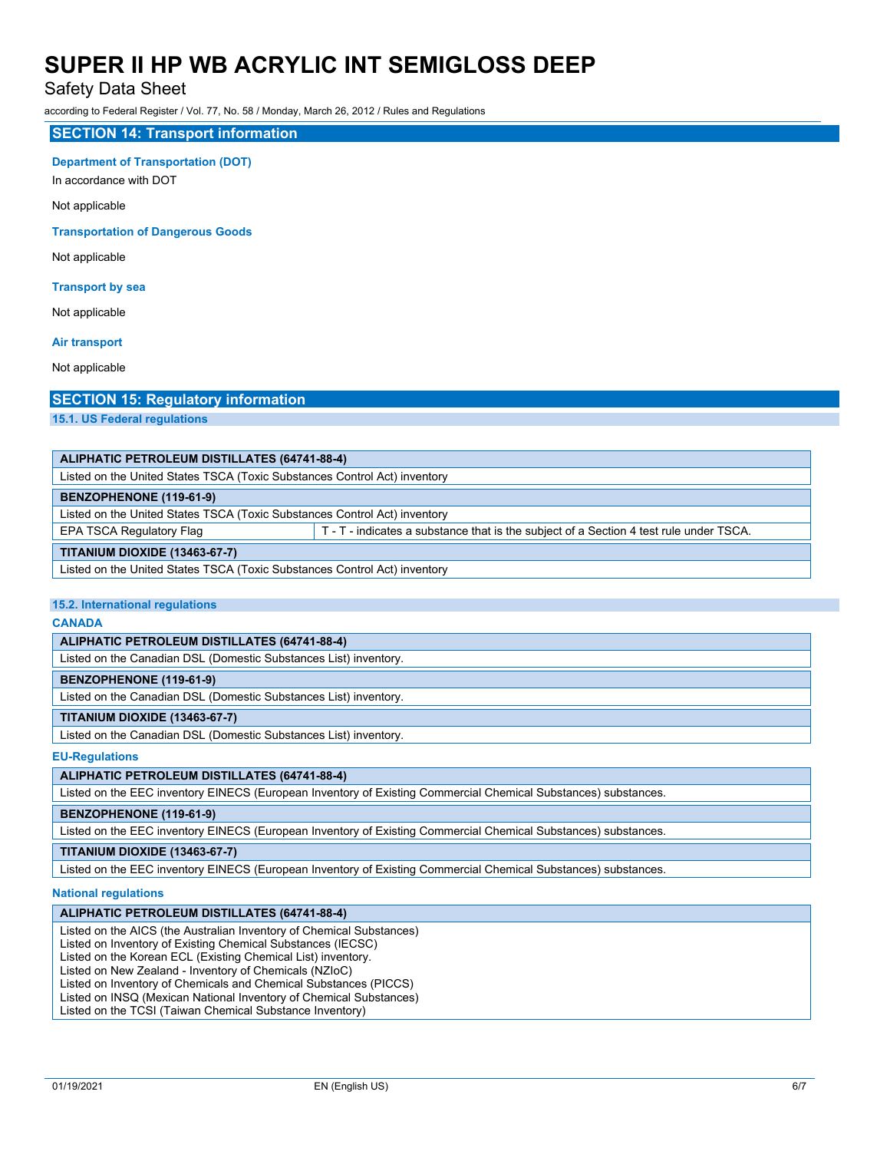## Safety Data Sheet

according to Federal Register / Vol. 77, No. 58 / Monday, March 26, 2012 / Rules and Regulations

### **SECTION 14: Transport information**

### **Department of Transportation (DOT)**

In accordance with DOT

Not applicable

#### **Transportation of Dangerous Goods**

Not applicable

## **Transport by sea**

Not applicable

### **Air transport**

Not applicable

## **SECTION 15: Regulatory information**

**15.1. US Federal regulations**

| ALIPHATIC PETROLEUM DISTILLATES (64741-88-4)                                                                       |  |  |
|--------------------------------------------------------------------------------------------------------------------|--|--|
| Listed on the United States TSCA (Toxic Substances Control Act) inventory                                          |  |  |
| BENZOPHENONE (119-61-9)                                                                                            |  |  |
| Listed on the United States TSCA (Toxic Substances Control Act) inventory                                          |  |  |
| EPA TSCA Regulatory Flag<br>T - T - indicates a substance that is the subject of a Section 4 test rule under TSCA. |  |  |
| <b>TITANIUM DIOXIDE (13463-67-7)</b>                                                                               |  |  |
| Listed on the United States TSCA (Toxic Substances Control Act) inventory                                          |  |  |

#### **15.2. International regulations**

**CANADA**

## **ALIPHATIC PETROLEUM DISTILLATES (64741-88-4)**

Listed on the Canadian DSL (Domestic Substances List) inventory.

#### **BENZOPHENONE (119-61-9)**

Listed on the Canadian DSL (Domestic Substances List) inventory.

## **TITANIUM DIOXIDE (13463-67-7)**

Listed on the Canadian DSL (Domestic Substances List) inventory.

#### **EU-Regulations**

## **ALIPHATIC PETROLEUM DISTILLATES (64741-88-4)**

Listed on the EEC inventory EINECS (European Inventory of Existing Commercial Chemical Substances) substances.

### **BENZOPHENONE (119-61-9)**

Listed on the EEC inventory EINECS (European Inventory of Existing Commercial Chemical Substances) substances.

## **TITANIUM DIOXIDE (13463-67-7)**

Listed on the EEC inventory EINECS (European Inventory of Existing Commercial Chemical Substances) substances.

#### **National regulations**

#### **ALIPHATIC PETROLEUM DISTILLATES (64741-88-4)**

Listed on the AICS (the Australian Inventory of Chemical Substances)

Listed on Inventory of Existing Chemical Substances (IECSC)

Listed on the Korean ECL (Existing Chemical List) inventory.

Listed on New Zealand - Inventory of Chemicals (NZIoC)

Listed on Inventory of Chemicals and Chemical Substances (PICCS)

Listed on INSQ (Mexican National Inventory of Chemical Substances)

Listed on the TCSI (Taiwan Chemical Substance Inventory)